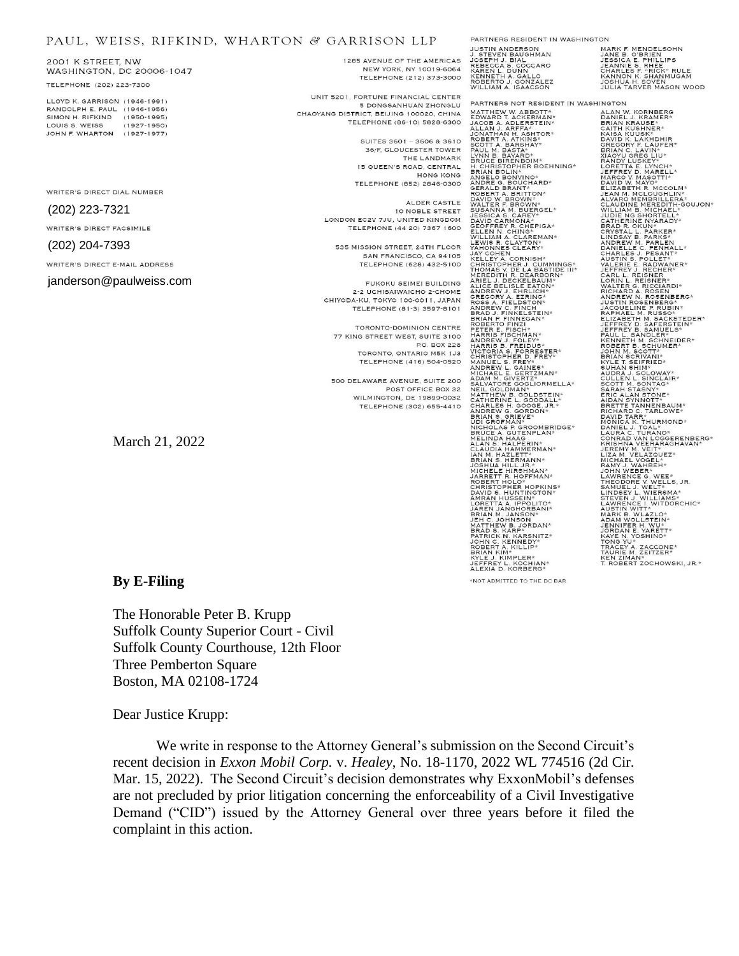## PAUL, WEISS, RIFKIND, WHARTON & GARRISON LLP

2001 K STREET, NW WASHINGTON, DC 20006-1047 TELEPHONE (202) 223-7300

LLOYD K GARRISON (1946-1991) RANDOLPH E. PAUL (1946-1956) SIMON H. RIFKIND (1950-1995) LOUIS S. WEISS  $(1927 - 1950)$ JOHN F. WHARTON (1927-1977)

WRITER'S DIRECT DIAL NUMBER

### (202) 223-7321

WRITER'S DIRECT FACSIMILE

#### (202) 204-7393

WRITER'S DIRECT E-MAIL ADDRESS

#### janderson@paulweiss.com

1285 AVENUE OF THE AMERICAS NEW YORK, NY 10019-6064 TELEPHONE (212) 373-3000

UNIT 5201, FORTUNE FINANCIAL CENTER 5 DONGSANHUAN ZHONGLU CHAOYANG DISTRICT BELIJNG 100020 CHINA TELEPHONE (86-10) 5828-6300

> SUITES 3601 - 3606 & 3610 36/F, GLOUCESTER TOWER THE LANDMARK 15 QUEEN'S ROAD, CENTRAL HONG KONG TELEPHONE (852) 2846-0300

ALDER CASTLE 10 NOBLE STREET LONDON EC2V 7JU, UNITED KINGDOM TELEPHONE (44 20) 7367 1600

535 MISSION STREET, 24TH FLOOR SAN FRANCISCO, CA 94105 TELEPHONE (628) 432-5100

FUKOKU SEIMEI BUILDING 2-2 UCHISAIWAICHO 2-CHOME CHIYODA-KU, TOKYO 100-0011, JAPAN TELEPHONE (81-3) 3597-8101

TORONTO-DOMINION CENTRE 77 KING STREET WEST, SUITE 3100 P.O. BOX 226 TORONTO, ONTARIO M5K 1J3 TELEPHONE (416) 504-0520

500 DELAWARE AVENUE, SUITE 200 POST OFFICE BOX 32 WILMINGTON, DE 19899-0032 TELEPHONE (302) 655-4410

THINING MEDICINAL STREET IN AN ANGELE CARRING AND SEBERG AND REBERG AND RAIL OF REBERG AND REAL ON REAL PROPERTY AND REAL ON REAL PROPERTY AND A SALLO BOTH AND REAL PROPERTY AND SALLO BUT A SALL OF THE MULLIAM AT ISLAND SE

PARTNERS RESIDENT IN WASHINGTON

MARK F. MENDELSOHN<br>JANE B. O'BRIEN<br>JESSICA E. PHILLIPS<br>CHARLES F. RHEE<br>CHARLES F. "RICK" RULE<br>KANNON K. SHANMUGAM<br>KANNON K. SOVEN JOSHUA H. SOVEN<br>JULIA TARVER MASON WOOD

PARTNERS NOT RESIDENT IN WASHINGTON FANIFIER WITHOUT AND MANUSTRATION AND MANUSTRAL AND MANUSTRATION AND MANUSTRATION AND MANUSTRATION CONTRACT AND MANUSTRATION CONTRACT AND MANUSTRATION CONTRACT AND MANUSTRATION CONTRACT AND MANUSTRATION (CONTRACT A BANDATH BRIAN KIM\*<br>KYLE J. KIMPLER\*<br>JEFFREY L. KOCHIAN\*<br>ALEXIA D. KORBERG\*

\*NOT ADMITTED TO THE DC BAR

ANDERE KANSER HARRY AND MANUSCRIPT (MANUSCRIPT)<br>ALAN W. KORNEERS<br>BANKLAN WARREN ET ANDERS WELL AND MANUSCRIPT (MANUSCRIPT)<br>BANKLAN CANDY (LAN) FROM THE STATE CONNECTING TO THE STAND ON THE STAND ON THE STANDARY CLAIM IN A

## **By E-Filing**

March 21, 2022

The Honorable Peter B. Krupp Suffolk County Superior Court - Civil Suffolk County Courthouse, 12th Floor Three Pemberton Square Boston, MA 02108-1724

Dear Justice Krupp:

We write in response to the Attorney General's submission on the Second Circuit's recent decision in *Exxon Mobil Corp.* v. *Healey*, No. 18-1170, 2022 WL 774516 (2d Cir. Mar. 15, 2022). The Second Circuit's decision demonstrates why ExxonMobil's defenses are not precluded by prior litigation concerning the enforceability of a Civil Investigative Demand ("CID") issued by the Attorney General over three years before it filed the complaint in this action.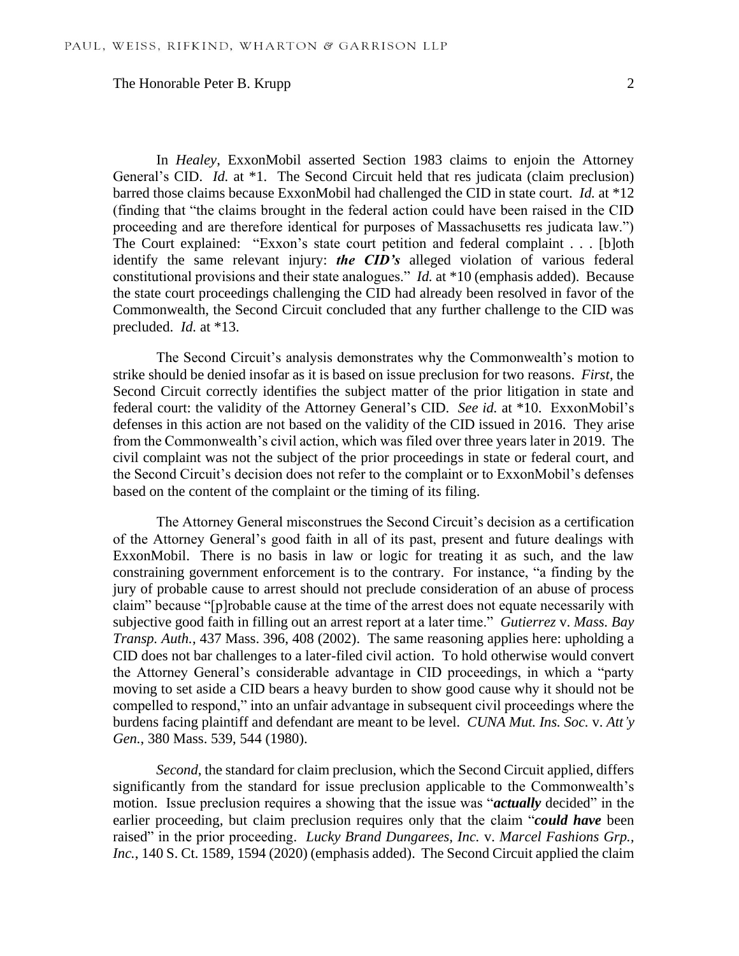# The Honorable Peter B. Krupp 2

In *Healey*, ExxonMobil asserted Section 1983 claims to enjoin the Attorney General's CID. *Id.* at \*1. The Second Circuit held that res judicata (claim preclusion) barred those claims because ExxonMobil had challenged the CID in state court. *Id.* at \*12 (finding that "the claims brought in the federal action could have been raised in the CID proceeding and are therefore identical for purposes of Massachusetts res judicata law.") The Court explained: "Exxon's state court petition and federal complaint . . . [b]oth identify the same relevant injury: *the CID's* alleged violation of various federal constitutional provisions and their state analogues." *Id.* at \*10 (emphasis added). Because the state court proceedings challenging the CID had already been resolved in favor of the Commonwealth, the Second Circuit concluded that any further challenge to the CID was precluded. *Id.* at \*13.

The Second Circuit's analysis demonstrates why the Commonwealth's motion to strike should be denied insofar as it is based on issue preclusion for two reasons. *First*, the Second Circuit correctly identifies the subject matter of the prior litigation in state and federal court: the validity of the Attorney General's CID. *See id.* at \*10. ExxonMobil's defenses in this action are not based on the validity of the CID issued in 2016. They arise from the Commonwealth's civil action, which was filed over three years later in 2019. The civil complaint was not the subject of the prior proceedings in state or federal court, and the Second Circuit's decision does not refer to the complaint or to ExxonMobil's defenses based on the content of the complaint or the timing of its filing.

The Attorney General misconstrues the Second Circuit's decision as a certification of the Attorney General's good faith in all of its past, present and future dealings with ExxonMobil. There is no basis in law or logic for treating it as such, and the law constraining government enforcement is to the contrary. For instance, "a finding by the jury of probable cause to arrest should not preclude consideration of an abuse of process claim" because "[p]robable cause at the time of the arrest does not equate necessarily with subjective good faith in filling out an arrest report at a later time." *Gutierrez* v. *Mass. Bay Transp. Auth.*, 437 Mass. 396, 408 (2002). The same reasoning applies here: upholding a CID does not bar challenges to a later-filed civil action. To hold otherwise would convert the Attorney General's considerable advantage in CID proceedings, in which a "party moving to set aside a CID bears a heavy burden to show good cause why it should not be compelled to respond," into an unfair advantage in subsequent civil proceedings where the burdens facing plaintiff and defendant are meant to be level. *CUNA Mut. Ins. Soc.* v. *Att'y Gen.*, 380 Mass. 539, 544 (1980).

*Second*, the standard for claim preclusion, which the Second Circuit applied, differs significantly from the standard for issue preclusion applicable to the Commonwealth's motion. Issue preclusion requires a showing that the issue was "*actually* decided" in the earlier proceeding, but claim preclusion requires only that the claim "*could have* been raised" in the prior proceeding. *Lucky Brand Dungarees, Inc.* v. *Marcel Fashions Grp.,*  Inc., 140 S. Ct. 1589, 1594 (2020) (emphasis added). The Second Circuit applied the claim